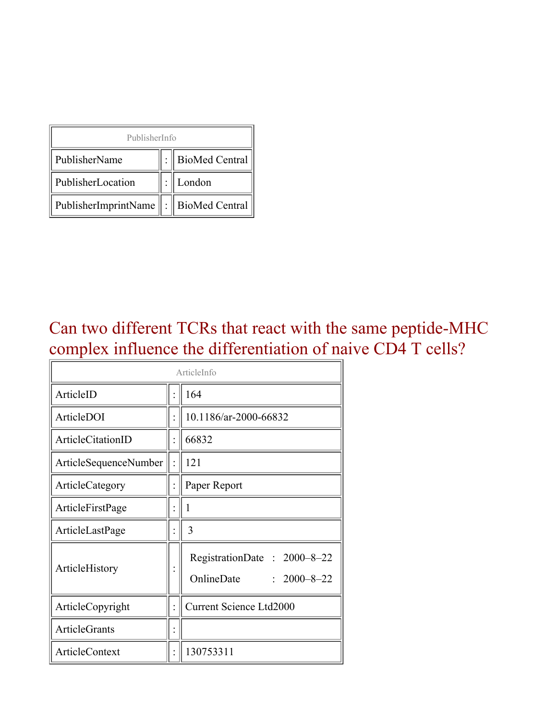| PublisherInfo                         |  |                    |  |  |
|---------------------------------------|--|--------------------|--|--|
| PublisherName                         |  | :   BioMed Central |  |  |
| PublisherLocation                     |  | London             |  |  |
| PublisherImprintName : BioMed Central |  |                    |  |  |

#### Can two different TCRs that react with the same peptide-MHC complex influence the differentiation of naive CD4 T cells?

| ArticleInfo                  |  |                                                                |  |
|------------------------------|--|----------------------------------------------------------------|--|
| ArticleID                    |  | 164                                                            |  |
| ArticleDOI                   |  | 10.1186/ar-2000-66832                                          |  |
| <b>ArticleCitationID</b>     |  | 66832                                                          |  |
| <b>ArticleSequenceNumber</b> |  | 121                                                            |  |
| ArticleCategory              |  | Paper Report                                                   |  |
| ArticleFirstPage             |  | 1                                                              |  |
| ArticleLastPage              |  | 3                                                              |  |
| ArticleHistory               |  | RegistrationDate: 2000-8-22<br>OnlineDate<br>$: 2000 - 8 - 22$ |  |
| ArticleCopyright             |  | <b>Current Science Ltd2000</b>                                 |  |
| <b>ArticleGrants</b>         |  |                                                                |  |
| ArticleContext               |  | 130753311                                                      |  |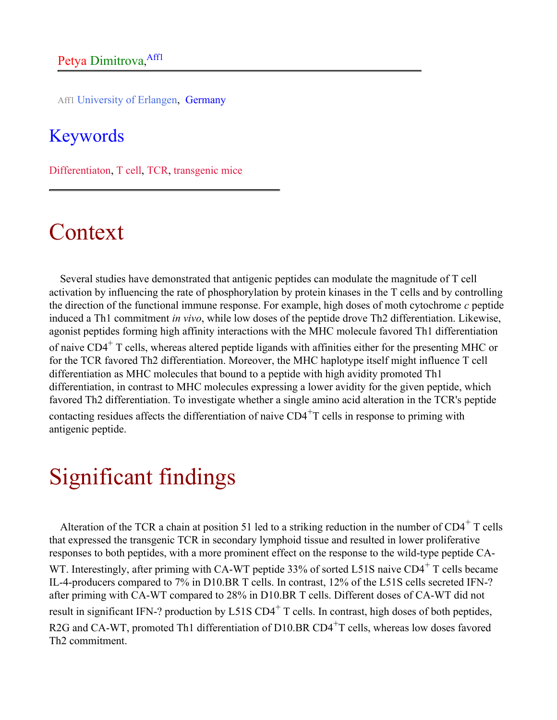Aff1 University of Erlangen, Germany

#### Keywords

Differentiaton, T cell, TCR, transgenic mice

#### Context

Several studies have demonstrated that antigenic peptides can modulate the magnitude of T cell activation by influencing the rate of phosphorylation by protein kinases in the T cells and by controlling the direction of the functional immune response. For example, high doses of moth cytochrome *c* peptide induced a Th1 commitment *in vivo*, while low doses of the peptide drove Th2 differentiation. Likewise, agonist peptides forming high affinity interactions with the MHC molecule favored Th1 differentiation of naive CD4<sup>+</sup> T cells, whereas altered peptide ligands with affinities either for the presenting MHC or for the TCR favored Th2 differentiation. Moreover, the MHC haplotype itself might influence T cell differentiation as MHC molecules that bound to a peptide with high avidity promoted Th1 differentiation, in contrast to MHC molecules expressing a lower avidity for the given peptide, which favored Th2 differentiation. To investigate whether a single amino acid alteration in the TCR's peptide contacting residues affects the differentiation of naive  $CD4<sup>+</sup>T$  cells in response to priming with antigenic peptide.

# Significant findings

Alteration of the TCR a chain at position 51 led to a striking reduction in the number of  $CD4^+$  T cells that expressed the transgenic TCR in secondary lymphoid tissue and resulted in lower proliferative responses to both peptides, with a more prominent effect on the response to the wild-type peptide CA-WT. Interestingly, after priming with CA-WT peptide 33% of sorted L51S naive  $CD4^+$  T cells became IL-4-producers compared to 7% in D10.BR T cells. In contrast, 12% of the L51S cells secreted IFN-? after priming with CA-WT compared to 28% in D10.BR T cells. Different doses of CA-WT did not result in significant IFN-? production by L51S  $CD4^+$  T cells. In contrast, high doses of both peptides, R2G and CA-WT, promoted Th1 differentiation of D10.BR CD4<sup>+</sup>T cells, whereas low doses favored Th2 commitment.